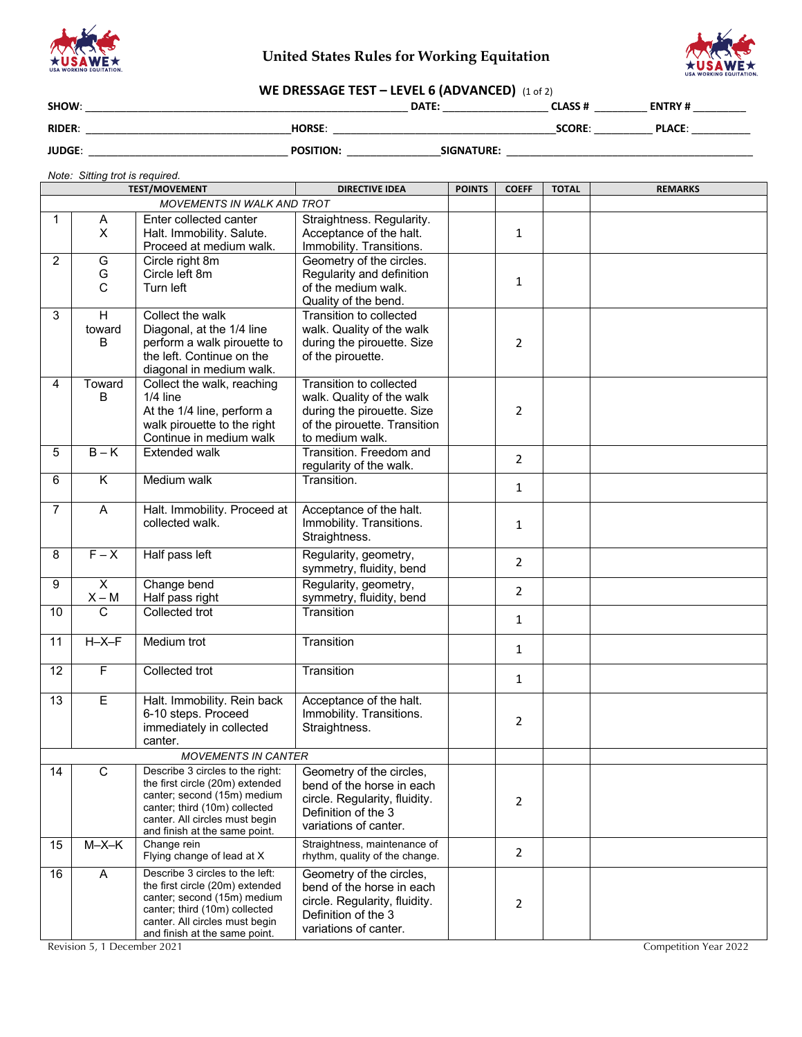

# **United States Rules for Working Equitation**



# **WE DRESSAGE TEST – LEVEL 6 (ADVANCED)** (1 of 2)

| SHOW:         |                  | DATE:             | <b>CLASS#</b> | <b>ENTRY#</b> |
|---------------|------------------|-------------------|---------------|---------------|
| <b>RIDER:</b> | <b>HORSE:</b>    |                   | <b>SCORE</b>  | <b>PLACE:</b> |
| <b>JUDGE:</b> | <b>POSITION:</b> | <b>SIGNATURE:</b> |               |               |

## *Note: Sitting trot is required.*

|                |                                    | <b>TEST/MOVEMENT</b>                                                                                                                                                                                                              | <b>DIRECTIVE IDEA</b>                                                                                                                  | <b>POINTS</b> | <b>COEFF</b>   | <b>TOTAL</b> | <b>REMARKS</b>        |
|----------------|------------------------------------|-----------------------------------------------------------------------------------------------------------------------------------------------------------------------------------------------------------------------------------|----------------------------------------------------------------------------------------------------------------------------------------|---------------|----------------|--------------|-----------------------|
|                |                                    | MOVEMENTS IN WALK AND TROT                                                                                                                                                                                                        |                                                                                                                                        |               |                |              |                       |
| $\mathbf 1$    | A<br>X                             | Enter collected canter<br>Halt. Immobility. Salute.<br>Proceed at medium walk.                                                                                                                                                    | Straightness. Regularity.<br>Acceptance of the halt.<br>Immobility. Transitions.                                                       |               | 1              |              |                       |
| $\overline{2}$ | G<br>G<br>C                        | Circle right 8m<br>Circle left 8m<br>Turn left                                                                                                                                                                                    | Geometry of the circles.<br>Regularity and definition<br>of the medium walk.<br>Quality of the bend.                                   |               | 1              |              |                       |
| 3              | H<br>toward<br>B                   | Collect the walk<br>Diagonal, at the 1/4 line<br>perform a walk pirouette to<br>the left. Continue on the<br>diagonal in medium walk.                                                                                             | Transition to collected<br>walk. Quality of the walk<br>during the pirouette. Size<br>of the pirouette.                                |               | 2              |              |                       |
| 4              | Toward<br>В                        | Collect the walk, reaching<br>$1/4$ line<br>At the 1/4 line, perform a<br>walk pirouette to the right<br>Continue in medium walk                                                                                                  | Transition to collected<br>walk. Quality of the walk<br>during the pirouette. Size<br>of the pirouette. Transition<br>to medium walk.  |               | 2              |              |                       |
| 5              | $B - K$                            | <b>Extended walk</b>                                                                                                                                                                                                              | Transition. Freedom and<br>regularity of the walk.                                                                                     |               | $\overline{2}$ |              |                       |
| 6              | K                                  | Medium walk                                                                                                                                                                                                                       | Transition.                                                                                                                            |               | $\mathbf{1}$   |              |                       |
| $\overline{7}$ | A                                  | Halt. Immobility. Proceed at<br>collected walk.                                                                                                                                                                                   | Acceptance of the halt.<br>Immobility. Transitions.<br>Straightness.                                                                   |               | 1              |              |                       |
| 8              | $F - X$                            | Half pass left                                                                                                                                                                                                                    | Regularity, geometry,<br>symmetry, fluidity, bend                                                                                      |               | $\overline{2}$ |              |                       |
| 9              | $\overline{\mathsf{x}}$<br>$X - M$ | Change bend<br>Half pass right                                                                                                                                                                                                    | Regularity, geometry,<br>symmetry, fluidity, bend                                                                                      |               | $\overline{2}$ |              |                       |
| 10             | $\mathsf{C}$                       | Collected trot                                                                                                                                                                                                                    | Transition                                                                                                                             |               | 1              |              |                       |
| 11             | $H - X - F$                        | Medium trot                                                                                                                                                                                                                       | Transition                                                                                                                             |               | 1              |              |                       |
| 12             | F                                  | Collected trot                                                                                                                                                                                                                    | Transition                                                                                                                             |               | 1              |              |                       |
| 13             | E                                  | Halt. Immobility. Rein back<br>6-10 steps. Proceed<br>immediately in collected<br>canter.                                                                                                                                         | Acceptance of the halt.<br>Immobility. Transitions.<br>Straightness.                                                                   |               | 2              |              |                       |
|                |                                    | <b>MOVEMENTS IN CANTER</b>                                                                                                                                                                                                        |                                                                                                                                        |               |                |              |                       |
| 14             | C                                  | Describe 3 circles to the right:   Geometry of the circles,<br>the first circle (20m) extended<br>canter; second (15m) medium<br>canter; third (10m) collected<br>canter. All circles must begin<br>and finish at the same point. | bend of the horse in each<br>circle. Regularity, fluidity.<br>Definition of the 3<br>variations of canter.                             |               | 2              |              |                       |
| 15             | $M-X-K$                            | Change rein<br>Flying change of lead at X                                                                                                                                                                                         | Straightness, maintenance of<br>rhythm, quality of the change.                                                                         |               | 2              |              |                       |
| 16             | $\mathsf{A}$                       | Describe 3 circles to the left:<br>the first circle (20m) extended<br>canter; second (15m) medium<br>canter; third (10m) collected<br>canter. All circles must begin<br>and finish at the same point.                             | Geometry of the circles,<br>bend of the horse in each<br>circle. Regularity, fluidity.<br>Definition of the 3<br>variations of canter. |               | 2              |              |                       |
|                | Revision 5, 1 December 2021        |                                                                                                                                                                                                                                   |                                                                                                                                        |               |                |              | Competition Year 2022 |